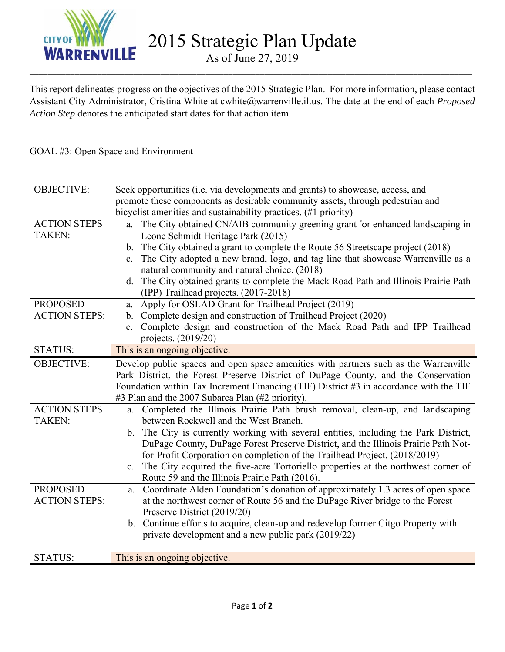

2015 Strategic Plan Update

As of June 27, 2019 \_\_\_\_\_\_\_\_\_\_\_\_\_\_\_\_\_\_\_\_\_\_\_\_\_\_\_\_\_\_\_\_\_\_\_\_\_\_\_\_\_\_\_\_\_\_\_\_\_\_\_\_\_\_\_\_\_\_\_\_\_\_\_\_\_\_\_\_\_\_\_\_\_\_\_\_\_\_\_\_\_\_\_\_\_\_\_\_\_\_\_\_\_\_\_\_\_\_

This report delineates progress on the objectives of the 2015 Strategic Plan. For more information, please contact Assistant City Administrator, Cristina White at cwhite@warrenville.il.us. The date at the end of each *Proposed Action Step* denotes the anticipated start dates for that action item.

# GOAL #3: Open Space and Environment

| <b>OBJECTIVE:</b>    | Seek opportunities (i.e. via developments and grants) to showcase, access, and                   |
|----------------------|--------------------------------------------------------------------------------------------------|
|                      | promote these components as desirable community assets, through pedestrian and                   |
|                      | bicyclist amenities and sustainability practices. (#1 priority)                                  |
| <b>ACTION STEPS</b>  | The City obtained CN/AIB community greening grant for enhanced landscaping in<br>a.              |
| <b>TAKEN:</b>        | Leone Schmidt Heritage Park (2015)                                                               |
|                      | b. The City obtained a grant to complete the Route 56 Streetscape project (2018)                 |
|                      | The City adopted a new brand, logo, and tag line that showcase Warrenville as a<br>$c_{\cdot}$   |
|                      | natural community and natural choice. (2018)                                                     |
|                      | The City obtained grants to complete the Mack Road Path and Illinois Prairie Path<br>d.          |
|                      | (IPP) Trailhead projects. (2017-2018)                                                            |
| <b>PROPOSED</b>      | Apply for OSLAD Grant for Trailhead Project (2019)<br>a.                                         |
| <b>ACTION STEPS:</b> | Complete design and construction of Trailhead Project (2020)<br>$\mathbf{b}$ .                   |
|                      | Complete design and construction of the Mack Road Path and IPP Trailhead<br>$c_{\cdot}$          |
|                      | projects. (2019/20)                                                                              |
| <b>STATUS:</b>       | This is an ongoing objective.                                                                    |
| <b>OBJECTIVE:</b>    | Develop public spaces and open space amenities with partners such as the Warrenville             |
|                      | Park District, the Forest Preserve District of DuPage County, and the Conservation               |
|                      | Foundation within Tax Increment Financing (TIF) District $#3$ in accordance with the TIF         |
|                      | #3 Plan and the 2007 Subarea Plan (#2 priority).                                                 |
| <b>ACTION STEPS</b>  | Completed the Illinois Prairie Path brush removal, clean-up, and landscaping<br>a.               |
| TAKEN:               | between Rockwell and the West Branch.                                                            |
|                      | b. The City is currently working with several entities, including the Park District,             |
|                      | DuPage County, DuPage Forest Preserve District, and the Illinois Prairie Path Not-               |
|                      | for-Profit Corporation on completion of the Trailhead Project. (2018/2019)                       |
|                      | The City acquired the five-acre Tortoriello properties at the northwest corner of<br>$c_{\cdot}$ |
|                      | Route 59 and the Illinois Prairie Path (2016).                                                   |
| <b>PROPOSED</b>      | Coordinate Alden Foundation's donation of approximately 1.3 acres of open space<br>a.            |
| <b>ACTION STEPS:</b> | at the northwest corner of Route 56 and the DuPage River bridge to the Forest                    |
|                      | Preserve District (2019/20)                                                                      |
|                      | b. Continue efforts to acquire, clean-up and redevelop former Citgo Property with                |
|                      | private development and a new public park (2019/22)                                              |
| <b>STATUS:</b>       | This is an ongoing objective.                                                                    |
|                      |                                                                                                  |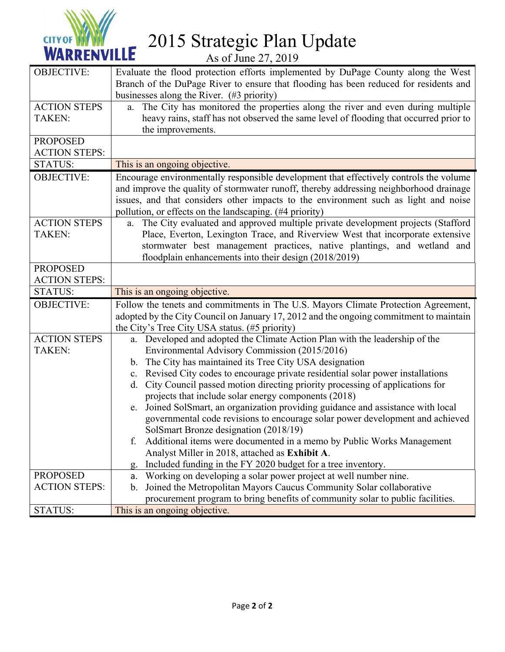

2015 Strategic Plan Update

As of June 27, 2019

| <b>OBJECTIVE:</b>    | Evaluate the flood protection efforts implemented by DuPage County along the West<br>Branch of the DuPage River to ensure that flooding has been reduced for residents and |
|----------------------|----------------------------------------------------------------------------------------------------------------------------------------------------------------------------|
|                      | businesses along the River. (#3 priority)                                                                                                                                  |
| <b>ACTION STEPS</b>  | The City has monitored the properties along the river and even during multiple<br>a.                                                                                       |
| <b>TAKEN:</b>        | heavy rains, staff has not observed the same level of flooding that occurred prior to                                                                                      |
|                      | the improvements.                                                                                                                                                          |
| <b>PROPOSED</b>      |                                                                                                                                                                            |
| <b>ACTION STEPS:</b> |                                                                                                                                                                            |
| <b>STATUS:</b>       | This is an ongoing objective.                                                                                                                                              |
| <b>OBJECTIVE:</b>    | Encourage environmentally responsible development that effectively controls the volume                                                                                     |
|                      | and improve the quality of stormwater runoff, thereby addressing neighborhood drainage                                                                                     |
|                      | issues, and that considers other impacts to the environment such as light and noise                                                                                        |
|                      | pollution, or effects on the landscaping. (#4 priority)                                                                                                                    |
| <b>ACTION STEPS</b>  | The City evaluated and approved multiple private development projects (Stafford<br>a.                                                                                      |
| <b>TAKEN:</b>        | Place, Everton, Lexington Trace, and Riverview West that incorporate extensive                                                                                             |
|                      | stormwater best management practices, native plantings, and wetland and                                                                                                    |
|                      | floodplain enhancements into their design (2018/2019)                                                                                                                      |
| <b>PROPOSED</b>      |                                                                                                                                                                            |
| <b>ACTION STEPS:</b> |                                                                                                                                                                            |
| <b>STATUS:</b>       | This is an ongoing objective.                                                                                                                                              |
| <b>OBJECTIVE:</b>    | Follow the tenets and commitments in The U.S. Mayors Climate Protection Agreement,                                                                                         |
|                      | adopted by the City Council on January 17, 2012 and the ongoing commitment to maintain                                                                                     |
|                      | the City's Tree City USA status. (#5 priority)                                                                                                                             |
| <b>ACTION STEPS</b>  | a. Developed and adopted the Climate Action Plan with the leadership of the                                                                                                |
| <b>TAKEN:</b>        | Environmental Advisory Commission (2015/2016)                                                                                                                              |
|                      | b. The City has maintained its Tree City USA designation                                                                                                                   |
|                      | c. Revised City codes to encourage private residential solar power installations                                                                                           |
|                      | City Council passed motion directing priority processing of applications for<br>d.                                                                                         |
|                      | projects that include solar energy components (2018)                                                                                                                       |
|                      | e. Joined SolSmart, an organization providing guidance and assistance with local                                                                                           |
|                      | governmental code revisions to encourage solar power development and achieved                                                                                              |
|                      | SolSmart Bronze designation (2018/19)<br>Additional items were documented in a memo by Public Works Management                                                             |
|                      | f.<br>Analyst Miller in 2018, attached as Exhibit A.                                                                                                                       |
|                      | Included funding in the FY 2020 budget for a tree inventory.                                                                                                               |
| <b>PROPOSED</b>      | g.<br>Working on developing a solar power project at well number nine.<br>а.                                                                                               |
| <b>ACTION STEPS:</b> | Joined the Metropolitan Mayors Caucus Community Solar collaborative<br>b.                                                                                                  |
|                      | procurement program to bring benefits of community solar to public facilities.                                                                                             |
| <b>STATUS:</b>       | This is an ongoing objective.                                                                                                                                              |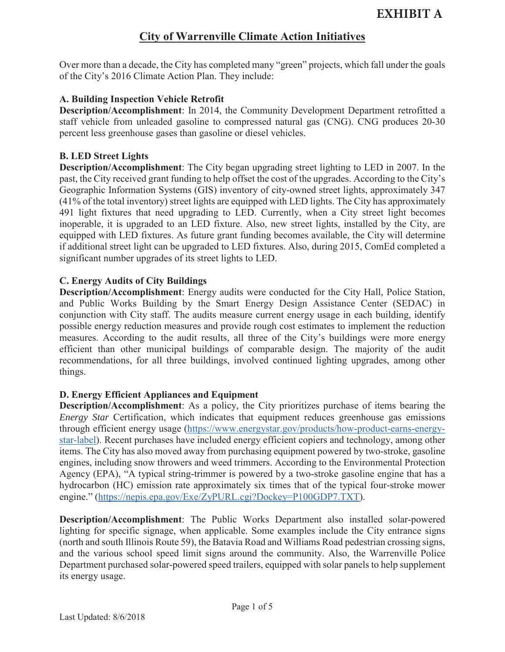Over more than a decade, the City has completed many "green" projects, which fall under the goals of the City's 2016 Climate Action Plan. They include:

#### **A. Building Inspection Vehicle Retrofit**

**Description/Accomplishment**: In 2014, the Community Development Department retrofitted a staff vehicle from unleaded gasoline to compressed natural gas (CNG). CNG produces 20-30 percent less greenhouse gases than gasoline or diesel vehicles.

#### **B. LED Street Lights**

**Description/Accomplishment**: The City began upgrading street lighting to LED in 2007. In the past, the City received grant funding to help offset the cost of the upgrades. According to the City's Geographic Information Systems (GIS) inventory of city-owned street lights, approximately 347 (41% of the total inventory) street lights are equipped with LED lights. The City has approximately 491 light fixtures that need upgrading to LED. Currently, when a City street light becomes inoperable, it is upgraded to an LED fixture. Also, new street lights, installed by the City, are equipped with LED fixtures. As future grant funding becomes available, the City will determine if additional street light can be upgraded to LED fixtures. Also, during 2015, ComEd completed a significant number upgrades of its street lights to LED.

### **C. Energy Audits of City Buildings**

**Description/Accomplishment**: Energy audits were conducted for the City Hall, Police Station, and Public Works Building by the Smart Energy Design Assistance Center (SEDAC) in conjunction with City staff. The audits measure current energy usage in each building, identify possible energy reduction measures and provide rough cost estimates to implement the reduction measures. According to the audit results, all three of the City's buildings were more energy efficient than other municipal buildings of comparable design. The majority of the audit recommendations, for all three buildings, involved continued lighting upgrades, among other things.

#### **D. Energy Efficient Appliances and Equipment**

**Description/Accomplishment**: As a policy, the City prioritizes purchase of items bearing the *Energy Star Certification, which indicates that equipment reduces greenhouse gas emissions* through efficient energy usage (https://www.energystar.gov/products/how-product-earns-energystar-label). Recent purchases have included energy efficient copiers and technology, among other items. The City has also moved away from purchasing equipment powered by two-stroke, gasoline engines, including snow throwers and weed trimmers. According to the Environmental Protection Agency (EPA), "A typical string-trimmer is powered by a two-stroke gasoline engine that has a hydrocarbon (HC) emission rate approximately six times that of the typical four-stroke mower engine." (https://nepis.epa.gov/Exe/ZyPURL.cgi?Dockey=P100GDP7.TXT).

**Description/Accomplishment**: The Public Works Department also installed solar-powered lighting for specific signage, when applicable. Some examples include the City entrance signs (north and south Illinois Route 59), the Batavia Road and Williams Road pedestrian crossing signs, and the various school speed limit signs around the community. Also, the Warrenville Police Department purchased solar-powered speed trailers, equipped with solar panels to help supplement its energy usage.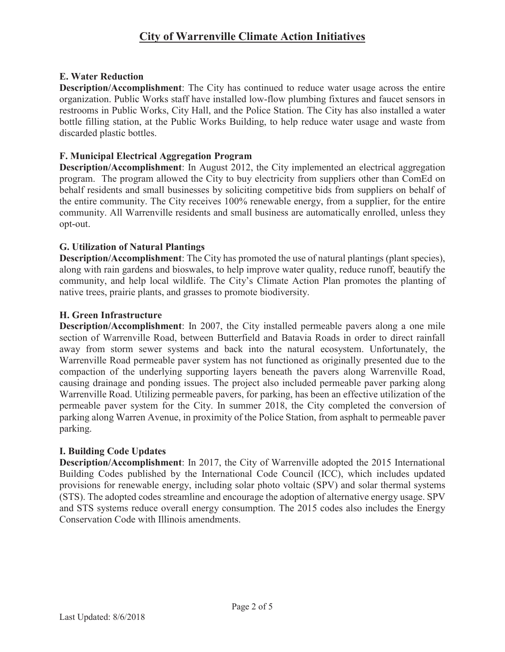### **E. Water Reduction**

**Description/Accomplishment**: The City has continued to reduce water usage across the entire organization. Public Works staff have installed low-flow plumbing fixtures and faucet sensors in restrooms in Public Works, City Hall, and the Police Station. The City has also installed a water bottle filling station, at the Public Works Building, to help reduce water usage and waste from discarded plastic bottles.

### **F. Municipal Electrical Aggregation Program**

**Description/Accomplishment**: In August 2012, the City implemented an electrical aggregation program. The program allowed the City to buy electricity from suppliers other than ComEd on behalf residents and small businesses by soliciting competitive bids from suppliers on behalf of the entire community. The City receives 100% renewable energy, from a supplier, for the entire community. All Warrenville residents and small business are automatically enrolled, unless they opt-out.

### **G. Utilization of Natural Plantings**

**Description/Accomplishment**: The City has promoted the use of natural plantings (plant species), along with rain gardens and bioswales, to help improve water quality, reduce runoff, beautify the community, and help local wildlife. The City's Climate Action Plan promotes the planting of native trees, prairie plants, and grasses to promote biodiversity.

### **H. Green Infrastructure**

**Description/Accomplishment**: In 2007, the City installed permeable pavers along a one mile section of Warrenville Road, between Butterfield and Batavia Roads in order to direct rainfall away from storm sewer systems and back into the natural ecosystem. Unfortunately, the Warrenville Road permeable paver system has not functioned as originally presented due to the compaction of the underlying supporting layers beneath the pavers along Warrenville Road, causing drainage and ponding issues. The project also included permeable paver parking along Warrenville Road. Utilizing permeable pavers, for parking, has been an effective utilization of the permeable paver system for the City. In summer 2018, the City completed the conversion of parking along Warren Avenue, in proximity of the Police Station, from asphalt to permeable paver parking.

#### **I. Building Code Updates**

**Description/Accomplishment**: In 2017, the City of Warrenville adopted the 2015 International Building Codes published by the International Code Council (ICC), which includes updated provisions for renewable energy, including solar photo voltaic (SPV) and solar thermal systems (STS). The adopted codes streamline and encourage the adoption of alternative energy usage. SPV and STS systems reduce overall energy consumption. The 2015 codes also includes the Energy Conservation Code with Illinois amendments.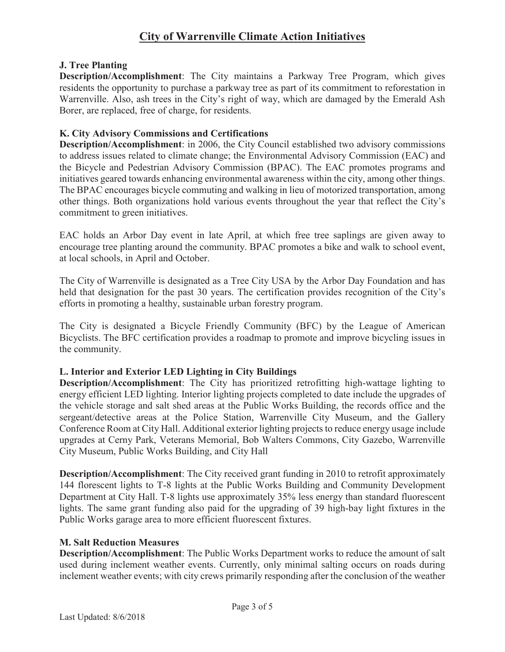### **J. Tree Planting**

**Description/Accomplishment**: The City maintains a Parkway Tree Program, which gives residents the opportunity to purchase a parkway tree as part of its commitment to reforestation in Warrenville. Also, ash trees in the City's right of way, which are damaged by the Emerald Ash Borer, are replaced, free of charge, for residents.

### **K. City Advisory Commissions and Certifications**

**Description/Accomplishment**: in 2006, the City Council established two advisory commissions to address issues related to climate change; the Environmental Advisory Commission (EAC) and the Bicycle and Pedestrian Advisory Commission (BPAC). The EAC promotes programs and initiatives geared towards enhancing environmental awareness within the city, among other things. The BPAC encourages bicycle commuting and walking in lieu of motorized transportation, among other things. Both organizations hold various events throughout the year that reflect the City's commitment to green initiatives.

EAC holds an Arbor Day event in late April, at which free tree saplings are given away to encourage tree planting around the community. BPAC promotes a bike and walk to school event, at local schools, in April and October.

The City of Warrenville is designated as a Tree City USA by the Arbor Day Foundation and has held that designation for the past 30 years. The certification provides recognition of the City's efforts in promoting a healthy, sustainable urban forestry program.

The City is designated a Bicycle Friendly Community (BFC) by the League of American Bicyclists. The BFC certification provides a roadmap to promote and improve bicycling issues in the community.

### **L. Interior and Exterior LED Lighting in City Buildings**

**Description/Accomplishment**: The City has prioritized retrofitting high-wattage lighting to energy efficient LED lighting. Interior lighting projects completed to date include the upgrades of the vehicle storage and salt shed areas at the Public Works Building, the records office and the sergeant/detective areas at the Police Station, Warrenville City Museum, and the Gallery Conference Room at City Hall. Additional exterior lighting projects to reduce energy usage include upgrades at Cerny Park, Veterans Memorial, Bob Walters Commons, City Gazebo, Warrenville City Museum, Public Works Building, and City Hall

**Description/Accomplishment**: The City received grant funding in 2010 to retrofit approximately 144 florescent lights to T-8 lights at the Public Works Building and Community Development Department at City Hall. T-8 lights use approximately 35% less energy than standard fluorescent lights. The same grant funding also paid for the upgrading of 39 high-bay light fixtures in the Public Works garage area to more efficient fluorescent fixtures.

#### **M. Salt Reduction Measures**

**Description/Accomplishment**: The Public Works Department works to reduce the amount of salt used during inclement weather events. Currently, only minimal salting occurs on roads during inclement weather events; with city crews primarily responding after the conclusion of the weather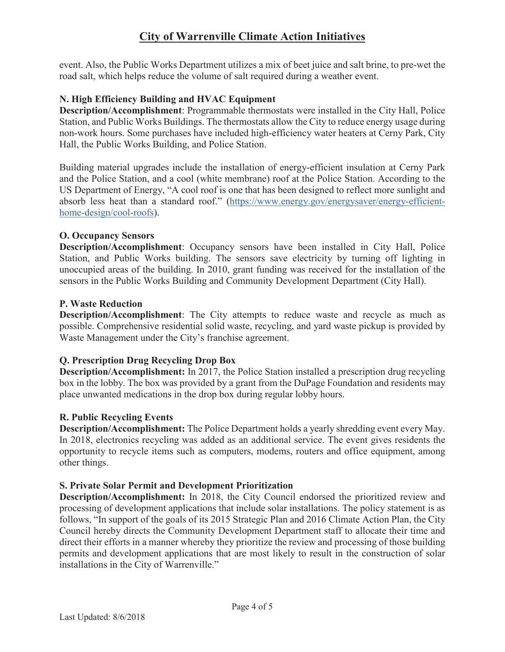event. Also, the Public Works Department utilizes a mix of beet juice and salt brine, to pre-wet the road salt, which helps reduce the volume of salt required during a weather event.

## **N. High Efficiency Building and HVAC Equipment**

**Description/Accomplishment**: Programmable thermostats were installed in the City Hall, Police Station, and Public Works Buildings. The thermostats allow the City to reduce energy usage during non-work hours. Some purchases have included high-efficiency water heaters at Cerny Park, City Hall, the Public Works Building, and Police Station.

Building material upgrades include the installation of energy-efficient insulation at Cerny Park and the Police Station, and a cool (white membrane) roof at the Police Station. According to the US Department of Energy, "A cool roof is one that has been designed to reflect more sunlight and absorb less heat than a standard roof." (https://www.energy.gov/energysaver/energy-efficienthome-design/cool-roofs).

### **O. Occupancy Sensors**

**Description/Accomplishment**: Occupancy sensors have been installed in City Hall, Police Station, and Public Works building. The sensors save electricity by turning off lighting in unoccupied areas of the building. In 2010, grant funding was received for the installation of the sensors in the Public Works Building and Community Development Department (City Hall).

### **P. Waste Reduction**

**Description/Accomplishment**: The City attempts to reduce waste and recycle as much as possible. Comprehensive residential solid waste, recycling, and yard waste pickup is provided by Waste Management under the City's franchise agreement.

## **Q. Prescription Drug Recycling Drop Box**

**Description/Accomplishment:** In 2017, the Police Station installed a prescription drug recycling box in the lobby. The box was provided by a grant from the DuPage Foundation and residents may place unwanted medications in the drop box during regular lobby hours.

### **R. Public Recycling Events**

**Description/Accomplishment:** The Police Department holds a yearly shredding event every May. In 2018, electronics recycling was added as an additional service. The event gives residents the opportunity to recycle items such as computers, modems, routers and office equipment, among other things.

### **S. Private Solar Permit and Development Prioritization**

**Description/Accomplishment:** In 2018, the City Council endorsed the prioritized review and processing of development applications that include solar installations. The policy statement is as follows, "In support of the goals of its 2015 Strategic Plan and 2016 Climate Action Plan, the City Council hereby directs the Community Development Department staff to allocate their time and direct their efforts in a manner whereby they prioritize the review and processing of those building permits and development applications that are most likely to result in the construction of solar installations in the City of Warrenville."